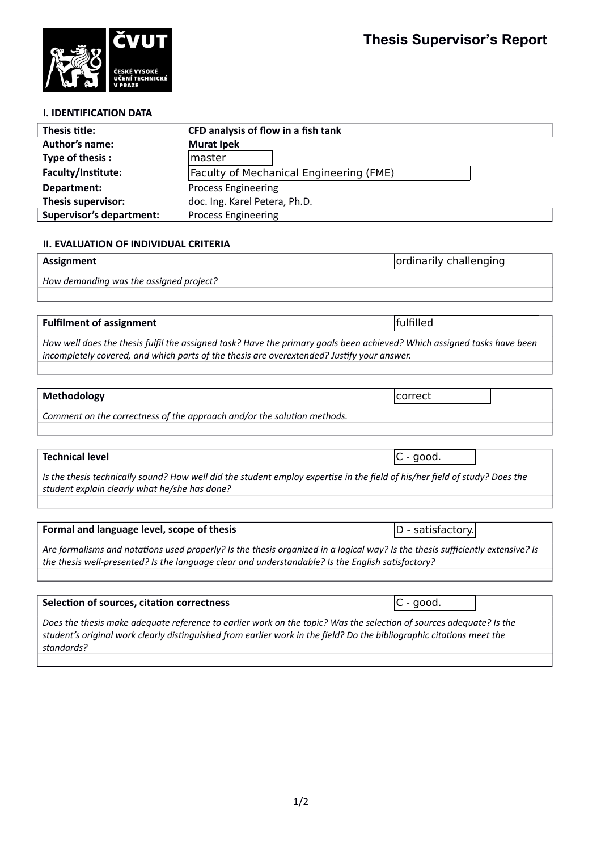ordinarily challenging



| THESP THE.                      | CI D analysis Of HOW IN a HSH tank             |  |
|---------------------------------|------------------------------------------------|--|
| <b>Author's name:</b>           | <b>Murat Ipek</b>                              |  |
| Type of thesis:                 | master                                         |  |
| Faculty/Institute:              | <b>Faculty of Mechanical Engineering (FME)</b> |  |
| Department:                     | <b>Process Engineering</b>                     |  |
| <b>Thesis supervisor:</b>       | doc. Ing. Karel Petera, Ph.D.                  |  |
| <b>Supervisor's department:</b> | <b>Process Engineering</b>                     |  |

## **II. EVALUATION OF INDIVIDUAL CRITERIA**

### **Assignment**

*How demanding was the assigned project?*

#### **Fulfilment of assignment**

*How well does the thesis fulfil the assigned task? Have the primary goals been achieved? Which assigned tasks have been incompletely covered, and which parts of the thesis are overextended? Justify your answer.*

## **Methodology**

*Comment on the correctness of the approach and/or the solution methods.*

#### **Technical level**

*Is the thesis technically sound? How well did the student employ expertise in the field of his/her field of study? Does the student explain clearly what he/she has done?*

# **Formal and language level, scope of thesis**

*Are formalisms and notations used properly? Is the thesis organized in a logical way? Is the thesis sufficiently extensive? Is the thesis well-presented? Is the language clear and understandable? Is the English satisfactory?*

#### **Selection of sources, citation correctness**

*Does the thesis make adequate reference to earlier work on the topic? Was the selection of sources adequate? Is the student's original work clearly distinguished from earlier work in the field? Do the bibliographic citations meet the standards?*

fulfilled

correct

 $|C - good.$ 

D - satisfactory.

C - good.